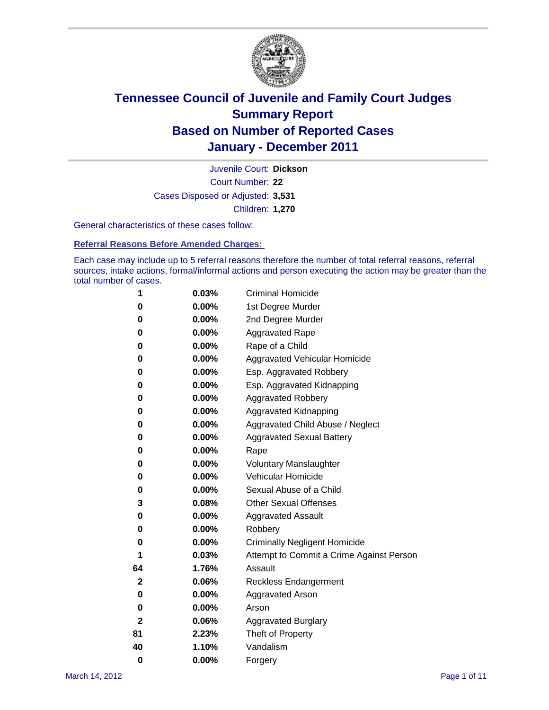

Court Number: **22** Juvenile Court: **Dickson** Cases Disposed or Adjusted: **3,531** Children: **1,270**

General characteristics of these cases follow:

**Referral Reasons Before Amended Charges:** 

Each case may include up to 5 referral reasons therefore the number of total referral reasons, referral sources, intake actions, formal/informal actions and person executing the action may be greater than the total number of cases.

| 1  | 0.03%    | <b>Criminal Homicide</b>                 |  |  |
|----|----------|------------------------------------------|--|--|
| 0  | 0.00%    | 1st Degree Murder                        |  |  |
| 0  | 0.00%    | 2nd Degree Murder                        |  |  |
| 0  | 0.00%    | <b>Aggravated Rape</b>                   |  |  |
| 0  | 0.00%    | Rape of a Child                          |  |  |
| 0  | 0.00%    | Aggravated Vehicular Homicide            |  |  |
| 0  | 0.00%    | Esp. Aggravated Robbery                  |  |  |
| 0  | 0.00%    | Esp. Aggravated Kidnapping               |  |  |
| 0  | 0.00%    | <b>Aggravated Robbery</b>                |  |  |
| 0  | 0.00%    | Aggravated Kidnapping                    |  |  |
| 0  | 0.00%    | Aggravated Child Abuse / Neglect         |  |  |
| 0  | $0.00\%$ | <b>Aggravated Sexual Battery</b>         |  |  |
| 0  | 0.00%    | Rape                                     |  |  |
| 0  | 0.00%    | <b>Voluntary Manslaughter</b>            |  |  |
| 0  | 0.00%    | Vehicular Homicide                       |  |  |
| 0  | 0.00%    | Sexual Abuse of a Child                  |  |  |
| 3  | 0.08%    | <b>Other Sexual Offenses</b>             |  |  |
| 0  | 0.00%    | <b>Aggravated Assault</b>                |  |  |
| 0  | $0.00\%$ | Robbery                                  |  |  |
| 0  | 0.00%    | <b>Criminally Negligent Homicide</b>     |  |  |
| 1  | 0.03%    | Attempt to Commit a Crime Against Person |  |  |
| 64 | 1.76%    | Assault                                  |  |  |
| 2  | 0.06%    | <b>Reckless Endangerment</b>             |  |  |
| 0  | 0.00%    | <b>Aggravated Arson</b>                  |  |  |
| 0  | 0.00%    | Arson                                    |  |  |
| 2  | 0.06%    | <b>Aggravated Burglary</b>               |  |  |
| 81 | 2.23%    | Theft of Property                        |  |  |
| 40 | 1.10%    | Vandalism                                |  |  |
| 0  | 0.00%    | Forgery                                  |  |  |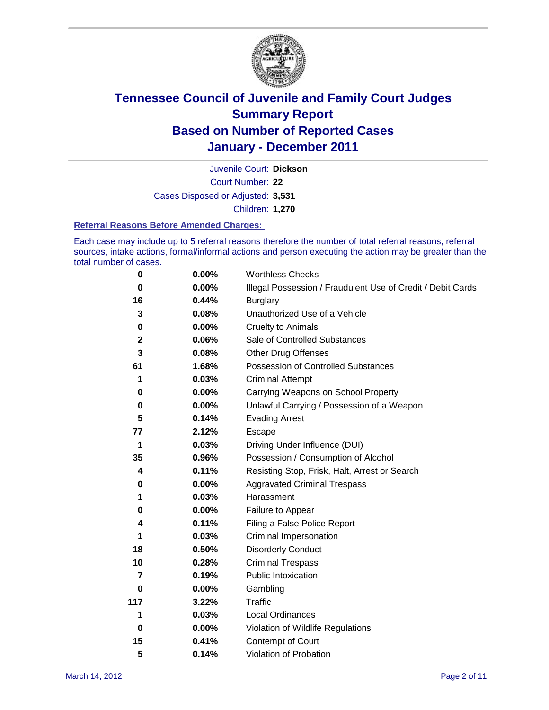

Court Number: **22** Juvenile Court: **Dickson** Cases Disposed or Adjusted: **3,531** Children: **1,270**

#### **Referral Reasons Before Amended Charges:**

Each case may include up to 5 referral reasons therefore the number of total referral reasons, referral sources, intake actions, formal/informal actions and person executing the action may be greater than the total number of cases.

| $\pmb{0}$      | 0.00%    | <b>Worthless Checks</b>                                     |  |  |
|----------------|----------|-------------------------------------------------------------|--|--|
| 0              | 0.00%    | Illegal Possession / Fraudulent Use of Credit / Debit Cards |  |  |
| 16             | 0.44%    | <b>Burglary</b>                                             |  |  |
| 3              | 0.08%    | Unauthorized Use of a Vehicle                               |  |  |
| $\pmb{0}$      | $0.00\%$ | <b>Cruelty to Animals</b>                                   |  |  |
| 2              | 0.06%    | Sale of Controlled Substances                               |  |  |
| 3              | 0.08%    | <b>Other Drug Offenses</b>                                  |  |  |
| 61             | 1.68%    | Possession of Controlled Substances                         |  |  |
| 1              | 0.03%    | <b>Criminal Attempt</b>                                     |  |  |
| 0              | 0.00%    | Carrying Weapons on School Property                         |  |  |
| 0              | $0.00\%$ | Unlawful Carrying / Possession of a Weapon                  |  |  |
| 5              | 0.14%    | <b>Evading Arrest</b>                                       |  |  |
| 77             | 2.12%    | Escape                                                      |  |  |
| 1              | 0.03%    | Driving Under Influence (DUI)                               |  |  |
| 35             | 0.96%    | Possession / Consumption of Alcohol                         |  |  |
| 4              | 0.11%    | Resisting Stop, Frisk, Halt, Arrest or Search               |  |  |
| 0              | $0.00\%$ | <b>Aggravated Criminal Trespass</b>                         |  |  |
| 1              | 0.03%    | Harassment                                                  |  |  |
| 0              | 0.00%    | Failure to Appear                                           |  |  |
| 4              | 0.11%    | Filing a False Police Report                                |  |  |
| 1              | 0.03%    | Criminal Impersonation                                      |  |  |
| 18             | 0.50%    | <b>Disorderly Conduct</b>                                   |  |  |
| 10             | 0.28%    | <b>Criminal Trespass</b>                                    |  |  |
| $\overline{7}$ | 0.19%    | <b>Public Intoxication</b>                                  |  |  |
| 0              | 0.00%    | Gambling                                                    |  |  |
| 117            | 3.22%    | <b>Traffic</b>                                              |  |  |
| 1              | 0.03%    | <b>Local Ordinances</b>                                     |  |  |
| $\mathbf 0$    | 0.00%    | Violation of Wildlife Regulations                           |  |  |
| 15             | 0.41%    | Contempt of Court                                           |  |  |
| 5              | 0.14%    | Violation of Probation                                      |  |  |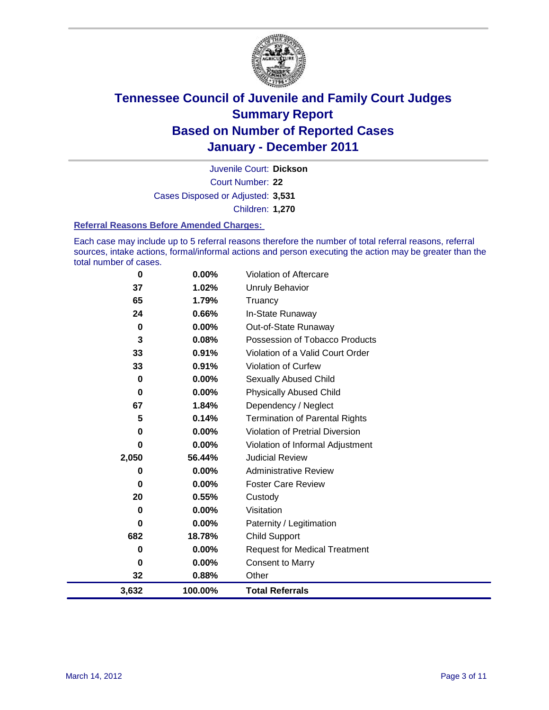

Court Number: **22** Juvenile Court: **Dickson** Cases Disposed or Adjusted: **3,531** Children: **1,270**

#### **Referral Reasons Before Amended Charges:**

Each case may include up to 5 referral reasons therefore the number of total referral reasons, referral sources, intake actions, formal/informal actions and person executing the action may be greater than the total number of cases.

| 0        | 0.00%    | Violation of Aftercare                 |
|----------|----------|----------------------------------------|
| 37       | 1.02%    | Unruly Behavior                        |
| 65       | 1.79%    | Truancy                                |
| 24       | 0.66%    | In-State Runaway                       |
| 0        | $0.00\%$ | Out-of-State Runaway                   |
| 3        | 0.08%    | Possession of Tobacco Products         |
| 33       | 0.91%    | Violation of a Valid Court Order       |
| 33       | 0.91%    | Violation of Curfew                    |
| 0        | 0.00%    | Sexually Abused Child                  |
| 0        | $0.00\%$ | <b>Physically Abused Child</b>         |
| 67       | 1.84%    | Dependency / Neglect                   |
| 5        | 0.14%    | <b>Termination of Parental Rights</b>  |
| 0        | 0.00%    | <b>Violation of Pretrial Diversion</b> |
| $\bf{0}$ | 0.00%    | Violation of Informal Adjustment       |
| 2,050    | 56.44%   | <b>Judicial Review</b>                 |
| 0        | $0.00\%$ | <b>Administrative Review</b>           |
| 0        | $0.00\%$ | <b>Foster Care Review</b>              |
| 20       | 0.55%    | Custody                                |
| 0        | $0.00\%$ | Visitation                             |
| 0        | 0.00%    | Paternity / Legitimation               |
| 682      | 18.78%   | <b>Child Support</b>                   |
| 0        | $0.00\%$ | <b>Request for Medical Treatment</b>   |
| 0        | 0.00%    | <b>Consent to Marry</b>                |
| 32       | 0.88%    | Other                                  |
| 3,632    | 100.00%  | <b>Total Referrals</b>                 |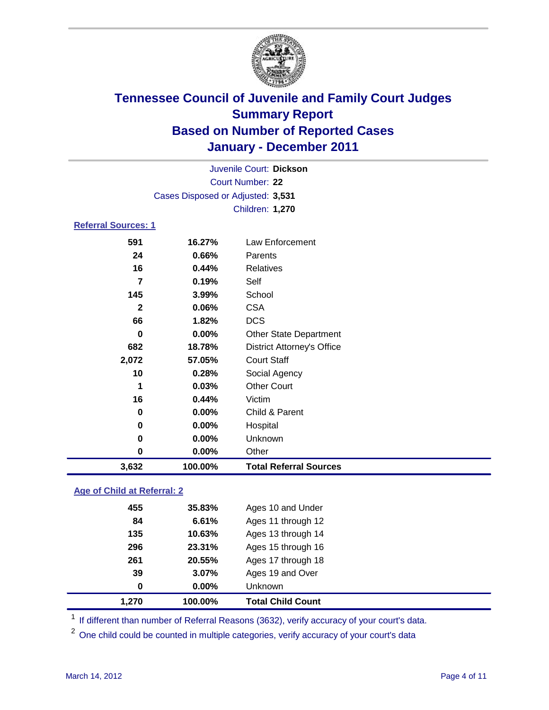

| Juvenile Court: Dickson    |                                   |                                   |  |  |
|----------------------------|-----------------------------------|-----------------------------------|--|--|
|                            | Court Number: 22                  |                                   |  |  |
|                            | Cases Disposed or Adjusted: 3,531 |                                   |  |  |
|                            |                                   | <b>Children: 1,270</b>            |  |  |
| <b>Referral Sources: 1</b> |                                   |                                   |  |  |
| 591                        | 16.27%                            | <b>Law Enforcement</b>            |  |  |
| 24                         | 0.66%                             | Parents                           |  |  |
| 16                         | 0.44%                             | <b>Relatives</b>                  |  |  |
| $\overline{7}$             | 0.19%                             | Self                              |  |  |
| 145                        | 3.99%                             | School                            |  |  |
| $\mathbf{2}$               | 0.06%                             | <b>CSA</b>                        |  |  |
| 66                         | 1.82%                             | <b>DCS</b>                        |  |  |
| $\bf{0}$                   | 0.00%                             | Other State Department            |  |  |
| 682                        | 18.78%                            | <b>District Attorney's Office</b> |  |  |
| 2,072                      | 57.05%                            | <b>Court Staff</b>                |  |  |
| 10                         | 0.28%                             | Social Agency                     |  |  |
| 1                          | 0.03%                             | <b>Other Court</b>                |  |  |
| 16                         | 0.44%                             | Victim                            |  |  |
| $\bf{0}$                   | 0.00%                             | Child & Parent                    |  |  |
| 0                          | 0.00%                             | Hospital                          |  |  |
| 0                          | 0.00%                             | Unknown                           |  |  |
| $\mathbf 0$                | 0.00%                             | Other                             |  |  |
| 3,632                      | 100.00%                           | <b>Total Referral Sources</b>     |  |  |
|                            |                                   |                                   |  |  |

### **Age of Child at Referral: 2**

| $\bf{0}$ | 0.00%  | <b>Unknown</b>     |
|----------|--------|--------------------|
| 39       | 3.07%  | Ages 19 and Over   |
| 261      | 20.55% | Ages 17 through 18 |
| 296      | 23.31% | Ages 15 through 16 |
| 135      | 10.63% | Ages 13 through 14 |
| 84       | 6.61%  | Ages 11 through 12 |
| 455      | 35.83% | Ages 10 and Under  |
|          |        |                    |

<sup>1</sup> If different than number of Referral Reasons (3632), verify accuracy of your court's data.

<sup>2</sup> One child could be counted in multiple categories, verify accuracy of your court's data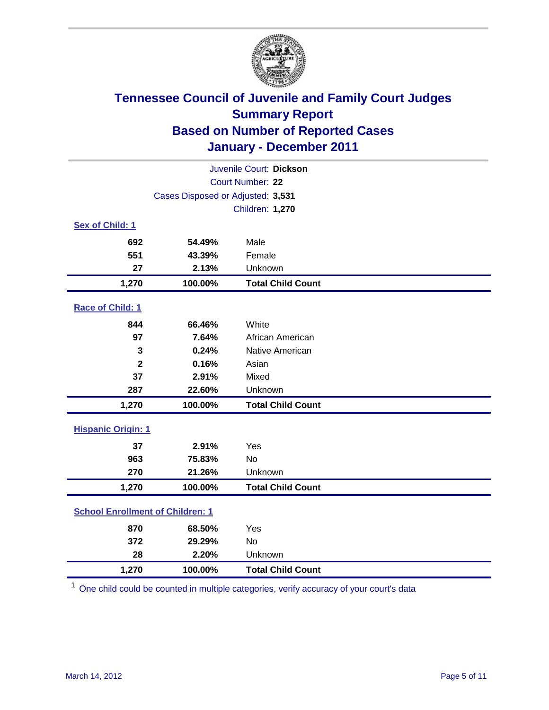

| Juvenile Court: Dickson                 |                                   |                          |  |
|-----------------------------------------|-----------------------------------|--------------------------|--|
| Court Number: 22                        |                                   |                          |  |
|                                         | Cases Disposed or Adjusted: 3,531 |                          |  |
|                                         |                                   | <b>Children: 1,270</b>   |  |
| Sex of Child: 1                         |                                   |                          |  |
| 692                                     | 54.49%                            | Male                     |  |
| 551                                     | 43.39%                            | Female                   |  |
| 27                                      | 2.13%                             | Unknown                  |  |
| 1,270                                   | 100.00%                           | <b>Total Child Count</b> |  |
| Race of Child: 1                        |                                   |                          |  |
| 844                                     | 66.46%                            | White                    |  |
| 97                                      | 7.64%                             | African American         |  |
| 3                                       | 0.24%                             | Native American          |  |
| $\mathbf{2}$                            | 0.16%                             | Asian                    |  |
| 37                                      | 2.91%                             | Mixed                    |  |
| 287                                     | 22.60%                            | Unknown                  |  |
| 1,270                                   | 100.00%                           | <b>Total Child Count</b> |  |
| <b>Hispanic Origin: 1</b>               |                                   |                          |  |
| 37                                      | 2.91%                             | Yes                      |  |
| 963                                     | 75.83%                            | No                       |  |
| 270                                     | 21.26%                            | Unknown                  |  |
| 1,270                                   | 100.00%                           | <b>Total Child Count</b> |  |
| <b>School Enrollment of Children: 1</b> |                                   |                          |  |
| 870                                     | 68.50%                            | Yes                      |  |
| 372                                     | 29.29%                            | <b>No</b>                |  |
| 28                                      | 2.20%                             | Unknown                  |  |
| 1,270                                   | 100.00%                           | <b>Total Child Count</b> |  |

<sup>1</sup> One child could be counted in multiple categories, verify accuracy of your court's data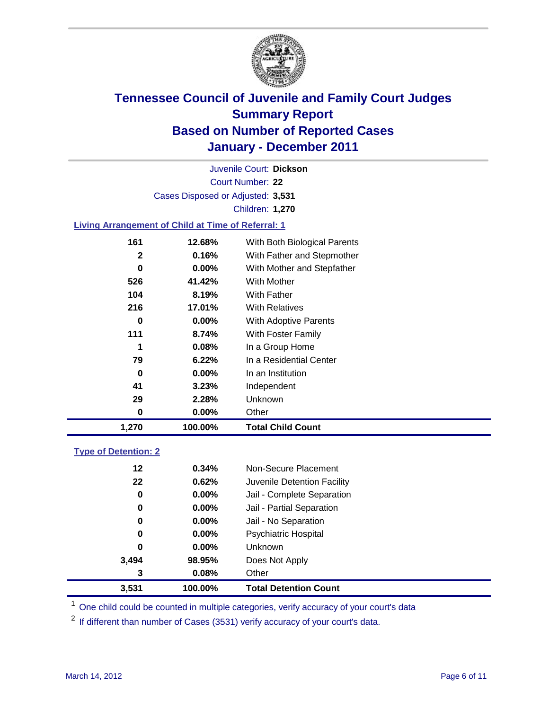

Court Number: **22** Juvenile Court: **Dickson** Cases Disposed or Adjusted: **3,531** Children: **1,270**

### **Living Arrangement of Child at Time of Referral: 1**

| 1,270 | 100.00%  | <b>Total Child Count</b>     |
|-------|----------|------------------------------|
| 0     | 0.00%    | Other                        |
| 29    | 2.28%    | Unknown                      |
| 41    | 3.23%    | Independent                  |
| 0     | $0.00\%$ | In an Institution            |
| 79    | 6.22%    | In a Residential Center      |
| 1     | 0.08%    | In a Group Home              |
| 111   | 8.74%    | With Foster Family           |
| 0     | $0.00\%$ | With Adoptive Parents        |
| 216   | 17.01%   | <b>With Relatives</b>        |
| 104   | 8.19%    | <b>With Father</b>           |
| 526   | 41.42%   | With Mother                  |
| 0     | $0.00\%$ | With Mother and Stepfather   |
| 2     | 0.16%    | With Father and Stepmother   |
| 161   | 12.68%   | With Both Biological Parents |
|       |          |                              |

### **Type of Detention: 2**

| 3,531 | 100.00%  | <b>Total Detention Count</b> |
|-------|----------|------------------------------|
| 3     | 0.08%    | Other                        |
| 3,494 | 98.95%   | Does Not Apply               |
| 0     | $0.00\%$ | Unknown                      |
| 0     | $0.00\%$ | <b>Psychiatric Hospital</b>  |
| 0     | 0.00%    | Jail - No Separation         |
| 0     | $0.00\%$ | Jail - Partial Separation    |
| 0     | 0.00%    | Jail - Complete Separation   |
| 22    | 0.62%    | Juvenile Detention Facility  |
| 12    | 0.34%    | Non-Secure Placement         |
|       |          |                              |

<sup>1</sup> One child could be counted in multiple categories, verify accuracy of your court's data

<sup>2</sup> If different than number of Cases (3531) verify accuracy of your court's data.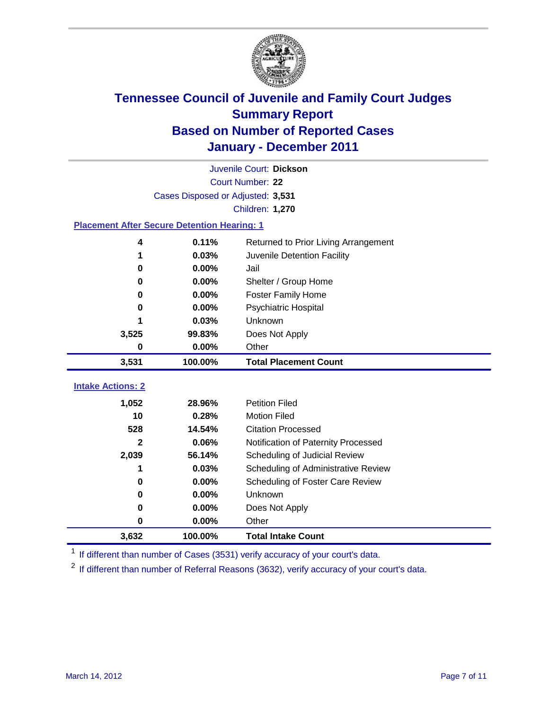

|                                                    | Juvenile Court: Dickson           |                                      |  |  |  |
|----------------------------------------------------|-----------------------------------|--------------------------------------|--|--|--|
|                                                    | Court Number: 22                  |                                      |  |  |  |
|                                                    | Cases Disposed or Adjusted: 3,531 |                                      |  |  |  |
|                                                    |                                   | Children: 1,270                      |  |  |  |
| <b>Placement After Secure Detention Hearing: 1</b> |                                   |                                      |  |  |  |
| 4                                                  | 0.11%                             | Returned to Prior Living Arrangement |  |  |  |
| 1                                                  | 0.03%                             | Juvenile Detention Facility          |  |  |  |
| 0                                                  | 0.00%                             | Jail                                 |  |  |  |
| 0                                                  | 0.00%                             | Shelter / Group Home                 |  |  |  |
| 0                                                  | 0.00%                             | <b>Foster Family Home</b>            |  |  |  |
| 0                                                  | 0.00%                             | Psychiatric Hospital                 |  |  |  |
|                                                    | 0.03%                             | Unknown                              |  |  |  |
| 3,525                                              | 99.83%                            | Does Not Apply                       |  |  |  |
| 0                                                  | 0.00%                             | Other                                |  |  |  |
| 3,531                                              | 100.00%                           | <b>Total Placement Count</b>         |  |  |  |
|                                                    |                                   |                                      |  |  |  |
| <b>Intake Actions: 2</b>                           |                                   |                                      |  |  |  |
| 1,052                                              | 28.96%                            | <b>Petition Filed</b>                |  |  |  |
| 10                                                 | 0.28%                             | <b>Motion Filed</b>                  |  |  |  |
| 528                                                | 14.54%                            | <b>Citation Processed</b>            |  |  |  |
| $\mathbf{2}$                                       | 0.06%                             | Notification of Paternity Processed  |  |  |  |
| 2,039                                              | 56.14%                            | Scheduling of Judicial Review        |  |  |  |
| 1                                                  | 0.03%                             | Scheduling of Administrative Review  |  |  |  |
| 0                                                  | 0.00%                             | Scheduling of Foster Care Review     |  |  |  |
| $\bf{0}$                                           | 0.00%                             | Unknown                              |  |  |  |
| 0                                                  | 0.00%                             | Does Not Apply                       |  |  |  |
| $\pmb{0}$                                          | 0.00%                             | Other                                |  |  |  |
| 3,632                                              | 100.00%                           | <b>Total Intake Count</b>            |  |  |  |

<sup>1</sup> If different than number of Cases (3531) verify accuracy of your court's data.

<sup>2</sup> If different than number of Referral Reasons (3632), verify accuracy of your court's data.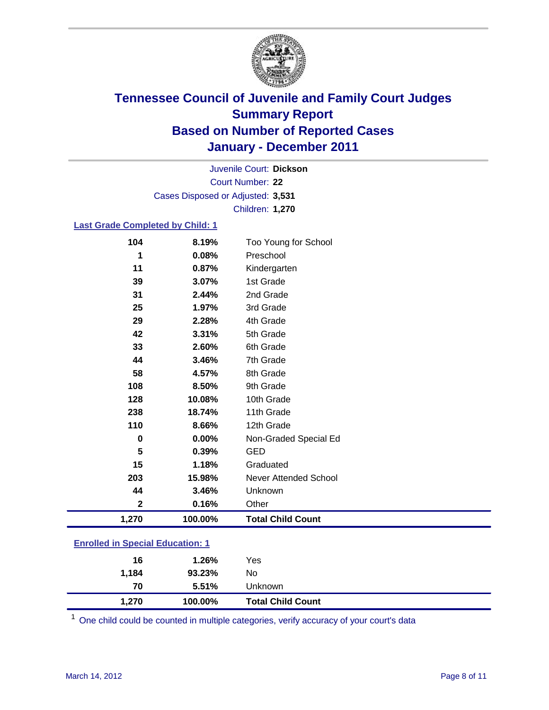

Court Number: **22** Juvenile Court: **Dickson** Cases Disposed or Adjusted: **3,531** Children: **1,270**

#### **Last Grade Completed by Child: 1**

| 104                                     | 8.19%   | Too Young for School         |  |
|-----------------------------------------|---------|------------------------------|--|
| 1                                       | 0.08%   | Preschool                    |  |
| 11                                      | 0.87%   | Kindergarten                 |  |
| 39                                      | 3.07%   | 1st Grade                    |  |
| 31                                      | 2.44%   | 2nd Grade                    |  |
| 25                                      | 1.97%   | 3rd Grade                    |  |
| 29                                      | 2.28%   | 4th Grade                    |  |
| 42                                      | 3.31%   | 5th Grade                    |  |
| 33                                      | 2.60%   | 6th Grade                    |  |
| 44                                      | 3.46%   | 7th Grade                    |  |
| 58                                      | 4.57%   | 8th Grade                    |  |
| 108                                     | 8.50%   | 9th Grade                    |  |
| 128                                     | 10.08%  | 10th Grade                   |  |
| 238                                     | 18.74%  | 11th Grade                   |  |
| 110                                     | 8.66%   | 12th Grade                   |  |
| $\bf{0}$                                | 0.00%   | Non-Graded Special Ed        |  |
| 5                                       | 0.39%   | <b>GED</b>                   |  |
| 15                                      | 1.18%   | Graduated                    |  |
| 203                                     | 15.98%  | <b>Never Attended School</b> |  |
| 44                                      | 3.46%   | Unknown                      |  |
| $\boldsymbol{2}$                        | 0.16%   | Other                        |  |
| 1,270                                   | 100.00% | <b>Total Child Count</b>     |  |
| <b>Enrolled in Special Education: 1</b> |         |                              |  |

| 16<br>1,184 | 1.26%<br>93.23% | Yes<br>No                |  |
|-------------|-----------------|--------------------------|--|
| 70          | 5.51%           | Jnknown.                 |  |
| 1,270       | 100.00%         | <b>Total Child Count</b> |  |

One child could be counted in multiple categories, verify accuracy of your court's data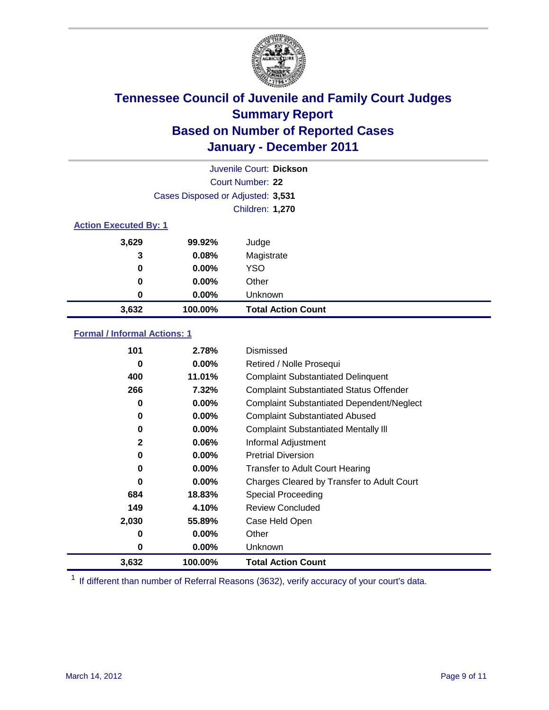

| Juvenile Court: Dickson      |                                   |                           |  |  |
|------------------------------|-----------------------------------|---------------------------|--|--|
|                              | Court Number: 22                  |                           |  |  |
|                              | Cases Disposed or Adjusted: 3,531 |                           |  |  |
|                              |                                   | Children: 1,270           |  |  |
| <b>Action Executed By: 1</b> |                                   |                           |  |  |
| 3,629                        | 99.92%                            | Judge                     |  |  |
| 3                            | 0.08%                             | Magistrate                |  |  |
| $\bf{0}$                     | $0.00\%$                          | <b>YSO</b>                |  |  |
| 0                            | $0.00\%$                          | Other                     |  |  |
| 0                            | $0.00\%$                          | Unknown                   |  |  |
| 3,632                        | 100.00%                           | <b>Total Action Count</b> |  |  |

### **Formal / Informal Actions: 1**

| 101          | 2.78%    | Dismissed                                        |
|--------------|----------|--------------------------------------------------|
| 0            | $0.00\%$ | Retired / Nolle Prosequi                         |
| 400          | 11.01%   | <b>Complaint Substantiated Delinquent</b>        |
| 266          | 7.32%    | <b>Complaint Substantiated Status Offender</b>   |
| 0            | $0.00\%$ | <b>Complaint Substantiated Dependent/Neglect</b> |
| 0            | $0.00\%$ | <b>Complaint Substantiated Abused</b>            |
| 0            | $0.00\%$ | <b>Complaint Substantiated Mentally III</b>      |
| $\mathbf{2}$ | 0.06%    | Informal Adjustment                              |
| 0            | $0.00\%$ | <b>Pretrial Diversion</b>                        |
| 0            | $0.00\%$ | <b>Transfer to Adult Court Hearing</b>           |
| 0            | $0.00\%$ | Charges Cleared by Transfer to Adult Court       |
| 684          | 18.83%   | Special Proceeding                               |
| 149          | 4.10%    | Review Concluded                                 |
| 2,030        | 55.89%   | Case Held Open                                   |
| 0            | $0.00\%$ | Other                                            |
| 0            | $0.00\%$ | <b>Unknown</b>                                   |
| 3,632        | 100.00%  | <b>Total Action Count</b>                        |

<sup>1</sup> If different than number of Referral Reasons (3632), verify accuracy of your court's data.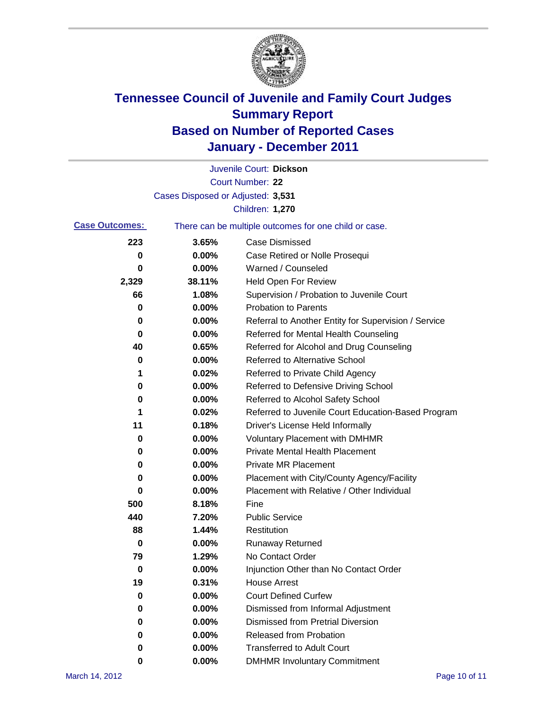

|                       |                                   | Juvenile Court: Dickson                               |
|-----------------------|-----------------------------------|-------------------------------------------------------|
|                       |                                   | <b>Court Number: 22</b>                               |
|                       | Cases Disposed or Adjusted: 3,531 |                                                       |
|                       |                                   | Children: 1,270                                       |
| <b>Case Outcomes:</b> |                                   | There can be multiple outcomes for one child or case. |
| 223                   | 3.65%                             | <b>Case Dismissed</b>                                 |
| 0                     | 0.00%                             | Case Retired or Nolle Prosequi                        |
| 0                     | 0.00%                             | Warned / Counseled                                    |
| 2,329                 | 38.11%                            | <b>Held Open For Review</b>                           |
| 66                    | 1.08%                             | Supervision / Probation to Juvenile Court             |
| 0                     | 0.00%                             | <b>Probation to Parents</b>                           |
| 0                     | 0.00%                             | Referral to Another Entity for Supervision / Service  |
| 0                     | 0.00%                             | Referred for Mental Health Counseling                 |
| 40                    | 0.65%                             | Referred for Alcohol and Drug Counseling              |
| 0                     | 0.00%                             | <b>Referred to Alternative School</b>                 |
| 1                     | 0.02%                             | Referred to Private Child Agency                      |
| 0                     | 0.00%                             | Referred to Defensive Driving School                  |
| 0                     | 0.00%                             | Referred to Alcohol Safety School                     |
| 1                     | 0.02%                             | Referred to Juvenile Court Education-Based Program    |
| 11                    | 0.18%                             | Driver's License Held Informally                      |
| 0                     | 0.00%                             | <b>Voluntary Placement with DMHMR</b>                 |
| 0                     | 0.00%                             | <b>Private Mental Health Placement</b>                |
| 0                     | 0.00%                             | <b>Private MR Placement</b>                           |
| 0                     | 0.00%                             | Placement with City/County Agency/Facility            |
| 0                     | 0.00%                             | Placement with Relative / Other Individual            |
| 500                   | 8.18%                             | Fine                                                  |
| 440                   | 7.20%                             | <b>Public Service</b>                                 |
| 88                    | 1.44%                             | Restitution                                           |
| 0                     | 0.00%                             | <b>Runaway Returned</b>                               |
| 79                    | 1.29%                             | No Contact Order                                      |
| 0                     | 0.00%                             | Injunction Other than No Contact Order                |
| 19                    | 0.31%                             | <b>House Arrest</b>                                   |
| 0                     | 0.00%                             | <b>Court Defined Curfew</b>                           |
| 0                     | 0.00%                             | Dismissed from Informal Adjustment                    |
| 0                     | 0.00%                             | <b>Dismissed from Pretrial Diversion</b>              |
| 0                     | 0.00%                             | Released from Probation                               |
| 0                     | 0.00%                             | <b>Transferred to Adult Court</b>                     |
| 0                     | $0.00\%$                          | <b>DMHMR Involuntary Commitment</b>                   |